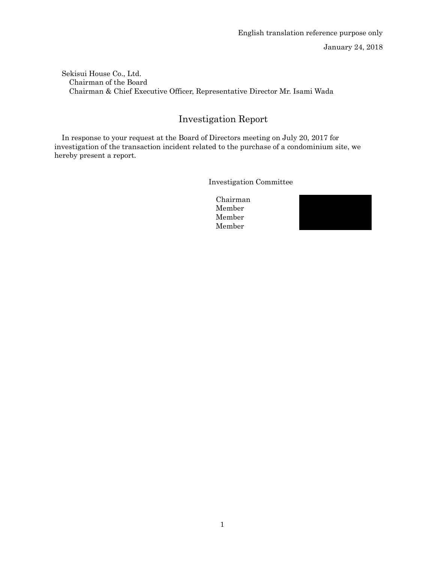January 24, 2018

Sekisui House Co., Ltd. Chairman of the Board Chairman & Chief Executive Officer, Representative Director Mr. Isami Wada

## Investigation Report

In response to your request at the Board of Directors meeting on July 20, 2017 for investigation of the transaction incident related to the purchase of a condominium site, we hereby present a report.

Investigation Committee

Chairman Member Member Member

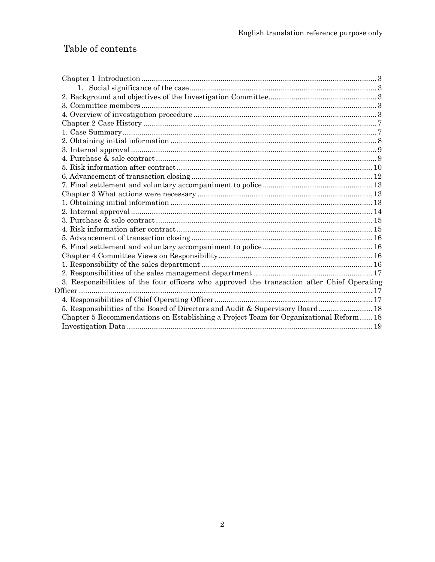# Table of contents

| 3. Responsibilities of the four officers who approved the transaction after Chief Operating |  |
|---------------------------------------------------------------------------------------------|--|
|                                                                                             |  |
|                                                                                             |  |
| 5. Responsibilities of the Board of Directors and Audit & Supervisory Board 18              |  |
| Chapter 5 Recommendations on Establishing a Project Team for Organizational Reform 18       |  |
|                                                                                             |  |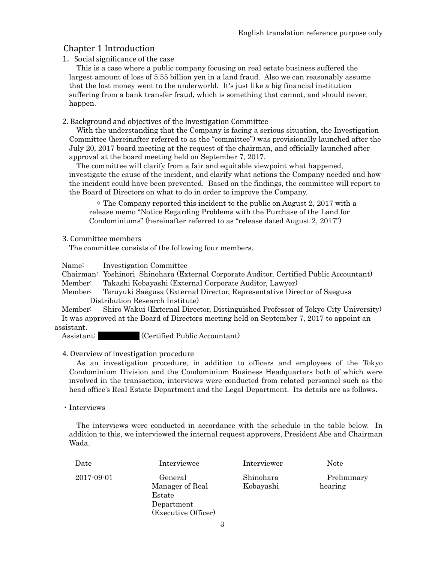## Chapter 1 Introduction

## 1. Social significance of the case

This is a case where a public company focusing on real estate business suffered the largest amount of loss of 5.55 billion yen in a land fraud. Also we can reasonably assume that the lost money went to the underworld. It's just like a big financial institution suffering from a bank transfer fraud, which is something that cannot, and should never, happen.

## 2. Background and objectives of the Investigation Committee

With the understanding that the Company is facing a serious situation, the Investigation Committee (hereinafter referred to as the "committee") was provisionally launched after the July 20, 2017 board meeting at the request of the chairman, and officially launched after approval at the board meeting held on September 7, 2017.

The committee will clarify from a fair and equitable viewpoint what happened, investigate the cause of the incident, and clarify what actions the Company needed and how the incident could have been prevented. Based on the findings, the committee will report to the Board of Directors on what to do in order to improve the Company.

 $\degree$  The Company reported this incident to the public on August 2, 2017 with a release memo "Notice Regarding Problems with the Purchase of the Land for Condominiums" (hereinafter referred to as "release dated August 2, 2017")

## 3. Committee members

The committee consists of the following four members.

Name: Investigation Committee

Chairman: Yoshinori Shinohara (External Corporate Auditor, Certified Public Accountant)

Member: Takashi Kobayashi (External Corporate Auditor, Lawyer)

Member: Teruyuki Saegusa (External Director, Representative Director of Saegusa Distribution Research Institute)

Member: Shiro Wakui (External Director, Distinguished Professor of Tokyo City University) It was approved at the Board of Directors meeting held on September 7, 2017 to appoint an assistant.

Assistant: Certified Public Accountant)

## 4. Overview of investigation procedure

As an investigation procedure, in addition to officers and employees of the Tokyo Condominium Division and the Condominium Business Headquarters both of which were involved in the transaction, interviews were conducted from related personnel such as the head office's Real Estate Department and the Legal Department. Its details are as follows.

## ・Interviews

The interviews were conducted in accordance with the schedule in the table below. In addition to this, we interviewed the internal request approvers, President Abe and Chairman Wada.

| Date             | Interviewee                                                               | Interviewer            | <b>Note</b>            |
|------------------|---------------------------------------------------------------------------|------------------------|------------------------|
| $2017 - 09 - 01$ | General<br>Manager of Real<br>Estate<br>Department<br>(Executive Officer) | Shinohara<br>Kobayashi | Preliminary<br>hearing |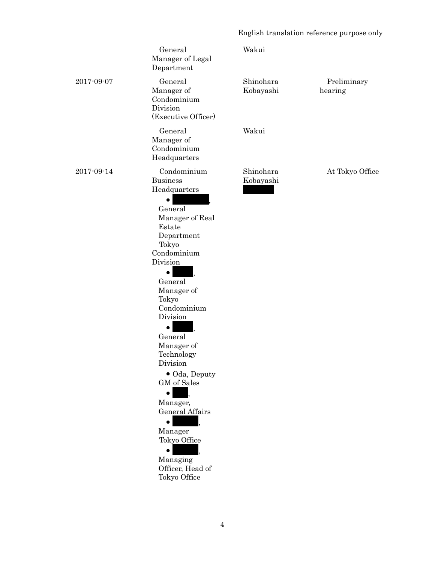## English translation reference purpose only

|            | General<br>Manager of Legal<br>Department                                                                                                                                                                                                                                                                                                                                                                                    | Wakui                  |                        |
|------------|------------------------------------------------------------------------------------------------------------------------------------------------------------------------------------------------------------------------------------------------------------------------------------------------------------------------------------------------------------------------------------------------------------------------------|------------------------|------------------------|
| 2017-09-07 | General<br>Manager of<br>Condominium<br>Division<br>(Executive Officer)                                                                                                                                                                                                                                                                                                                                                      | Shinohara<br>Kobayashi | Preliminary<br>hearing |
|            | General<br>Manager of<br>Condominium<br>Headquarters                                                                                                                                                                                                                                                                                                                                                                         | Wakui                  |                        |
| 2017-09-14 | Condominium<br><b>Business</b><br>Headquarters<br>General<br>Manager of Real<br>Estate<br>Department<br>Tokyo<br>Condominium<br>Division<br>$\bullet$<br>General<br>Manager of<br>Tokyo<br>Condominium<br>Division<br>General<br>Manager of<br>Technology<br>Division<br>• Oda, Deputy<br>GM of Sales<br>$\bullet$<br>Manager,<br>General Affairs<br>Manager<br>Tokyo Office<br>Managing<br>Officer, Head of<br>Tokyo Office | Shinohara<br>Kobayashi | At Tokyo Office        |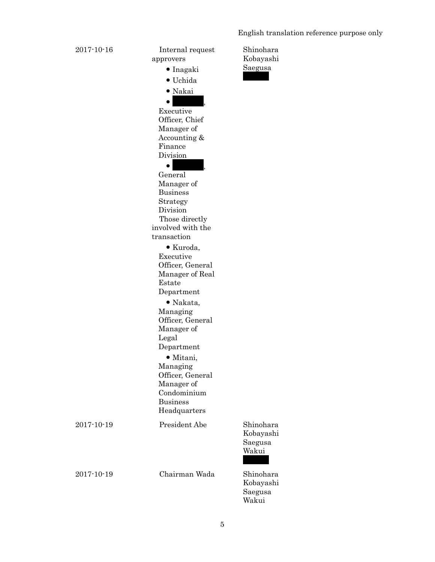English translation reference purpose only

| 2017-10-16       | Internal request<br>approvers<br>$\bullet$ Inagaki<br>• Uchida<br>• Nakai<br>Executive<br>Officer, Chief<br>Manager of<br>Accounting &<br>Finance<br>Division<br>$\bullet$<br>General<br>Manager of<br><b>Business</b><br>Strategy<br>Division<br>Those directly<br>involved with the<br>transaction<br>$\bullet$ Kuroda,<br>Executive<br>Officer, General<br>Manager of Real<br>Estate<br>Department<br>$\bullet$ Nakata,<br>Managing<br>Officer, General<br>Manager of<br>Legal<br>Department<br>$\bullet$ Mitani,<br>Managing<br>Officer, General<br>Manager of<br>Condominium<br><b>Business</b><br>Headquarters | Shinohara<br>Kobayashi<br>Saegusa          |
|------------------|----------------------------------------------------------------------------------------------------------------------------------------------------------------------------------------------------------------------------------------------------------------------------------------------------------------------------------------------------------------------------------------------------------------------------------------------------------------------------------------------------------------------------------------------------------------------------------------------------------------------|--------------------------------------------|
| $2017 - 10 - 19$ | President Abe                                                                                                                                                                                                                                                                                                                                                                                                                                                                                                                                                                                                        | Shinohara<br>Kobayashi<br>Saegusa<br>Wakui |
| $2017 - 10 - 19$ | Chairman Wada                                                                                                                                                                                                                                                                                                                                                                                                                                                                                                                                                                                                        | Shinohara<br>Kobayashi<br>Saegusa          |

Wakui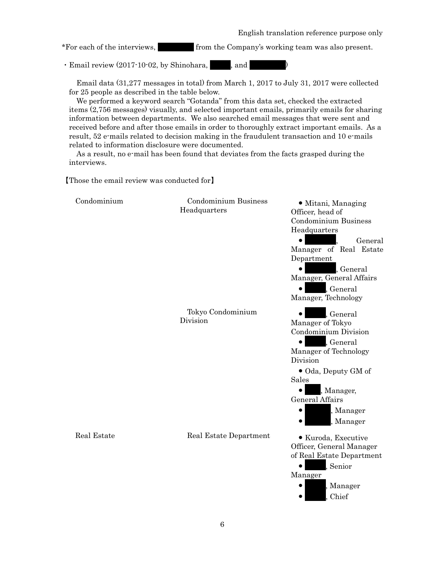\*For each of the interviews,  $\qquad \qquad$  from the Company's working team was also present.

 $\cdot$  Email review (2017-10-02, by Shinohara,  $\vert$ , and  $\vert$ 

Email data (31,277 messages in total) from March 1, 2017 to July 31, 2017 were collected for 25 people as described in the table below.

We performed a keyword search "Gotanda" from this data set, checked the extracted items (2,756 messages) visually, and selected important emails, primarily emails for sharing information between departments. We also searched email messages that were sent and received before and after those emails in order to thoroughly extract important emails. As a result, 52 e-mails related to decision making in the fraudulent transaction and 10 e-mails related to information disclosure were documented.

As a result, no e-mail has been found that deviates from the facts grasped during the interviews.

【Those the email review was conducted for】

| Condominium | <b>Condominium Business</b><br>Headquarters | • Mitani, Managing<br>Officer, head of<br><b>Condominium Business</b><br>Headquarters<br>General<br>$\bullet$<br>Manager of Real Estate<br>Department<br>, General<br>$\bullet$<br>Manager, General Affairs                |
|-------------|---------------------------------------------|----------------------------------------------------------------------------------------------------------------------------------------------------------------------------------------------------------------------------|
|             |                                             | , General<br>Manager, Technology                                                                                                                                                                                           |
|             | Tokyo Condominium<br>Division               | , General<br>Manager of Tokyo<br>Condominium Division<br>$\bullet$<br>, General<br>Manager of Technology<br>Division<br>• Oda, Deputy GM of<br>Sales<br>, Manager,<br>General Affairs<br>Manager<br>$\bullet$<br>, Manager |
| Real Estate | Real Estate Department                      | • Kuroda, Executive<br>Officer, General Manager<br>of Real Estate Department<br>, Senior<br>Manager<br>, Manager<br>Chief                                                                                                  |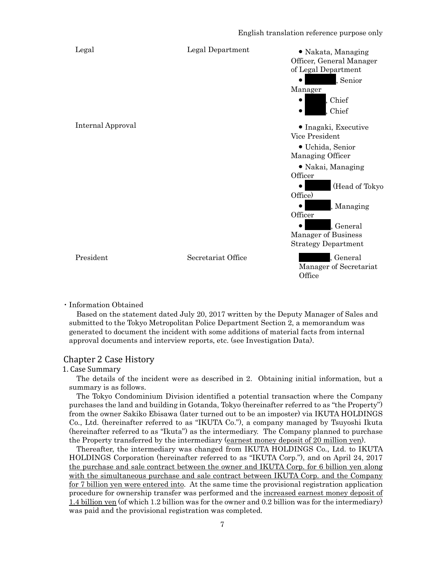

#### ・Information Obtained

Based on the statement dated July 20, 2017 written by the Deputy Manager of Sales and submitted to the Tokyo Metropolitan Police Department Section 2, a memorandum was generated to document the incident with some additions of material facts from internal approval documents and interview reports, etc. (see Investigation Data).

## Chapter 2 Case History

#### 1. Case Summary

The details of the incident were as described in 2. Obtaining initial information, but a summary is as follows.

The Tokyo Condominium Division identified a potential transaction where the Company purchases the land and building in Gotanda, Tokyo (hereinafter referred to as "the Property") from the owner Sakiko Ebisawa (later turned out to be an imposter) via IKUTA HOLDINGS Co., Ltd. (hereinafter referred to as "IKUTA Co."), a company managed by Tsuyoshi Ikuta (hereinafter referred to as "Ikuta") as the intermediary. The Company planned to purchase the Property transferred by the intermediary (earnest money deposit of 20 million yen).

Thereafter, the intermediary was changed from IKUTA HOLDINGS Co., Ltd. to IKUTA HOLDINGS Corporation (hereinafter referred to as "IKUTA Corp."), and on April 24, 2017 the purchase and sale contract between the owner and IKUTA Corp. for 6 billion yen along with the simultaneous purchase and sale contract between IKUTA Corp. and the Company for 7 billion yen were entered into. At the same time the provisional registration application procedure for ownership transfer was performed and the increased earnest money deposit of 1.4 billion yen (of which 1.2 billion was for the owner and 0.2 billion was for the intermediary) was paid and the provisional registration was completed.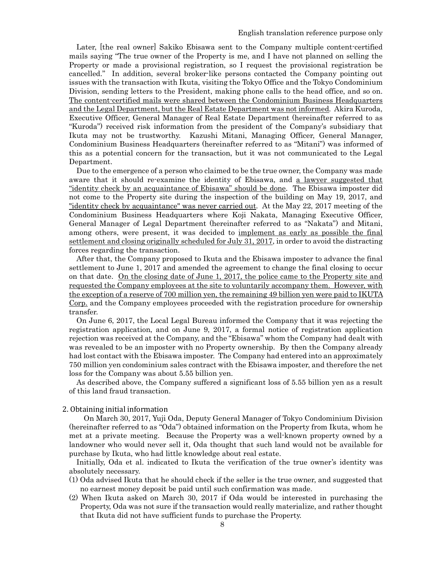Later, [the real owner] Sakiko Ebisawa sent to the Company multiple content-certified mails saying "The true owner of the Property is me, and I have not planned on selling the Property or made a provisional registration, so I request the provisional registration be cancelled." In addition, several broker-like persons contacted the Company pointing out issues with the transaction with Ikuta, visiting the Tokyo Office and the Tokyo Condominium Division, sending letters to the President, making phone calls to the head office, and so on. The content-certified mails were shared between the Condominium Business Headquarters and the Legal Department, but the Real Estate Department was not informed. Akira Kuroda, Executive Officer, General Manager of Real Estate Department (hereinafter referred to as "Kuroda") received risk information from the president of the Company's subsidiary that Ikuta may not be trustworthy. Kazushi Mitani, Managing Officer, General Manager, Condominium Business Headquarters (hereinafter referred to as "Mitani") was informed of this as a potential concern for the transaction, but it was not communicated to the Legal Department.

Due to the emergence of a person who claimed to be the true owner, the Company was made aware that it should re-examine the identity of Ebisawa, and a lawyer suggested that "identity check by an acquaintance of Ebisawa" should be done. The Ebisawa imposter did not come to the Property site during the inspection of the building on May 19, 2017, and "identity check by acquaintance" was never carried out. At the May 22, 2017 meeting of the Condominium Business Headquarters where Koji Nakata, Managing Executive Officer, General Manager of Legal Department (hereinafter referred to as "Nakata") and Mitani, among others, were present, it was decided to <u>implement as early as possible the final</u> settlement and closing originally scheduled for July 31, 2017, in order to avoid the distracting forces regarding the transaction.

After that, the Company proposed to Ikuta and the Ebisawa imposter to advance the final settlement to June 1, 2017 and amended the agreement to change the final closing to occur on that date. On the closing date of June 1, 2017, the police came to the Property site and requested the Company employees at the site to voluntarily accompany them. However, with the exception of a reserve of 700 million yen, the remaining 49 billion yen were paid to IKUTA Corp. and the Company employees proceeded with the registration procedure for ownership transfer.

On June 6, 2017, the Local Legal Bureau informed the Company that it was rejecting the registration application, and on June 9, 2017, a formal notice of registration application rejection was received at the Company, and the "Ebisawa" whom the Company had dealt with was revealed to be an imposter with no Property ownership. By then the Company already had lost contact with the Ebisawa imposter. The Company had entered into an approximately 750 million yen condominium sales contract with the Ebisawa imposter, and therefore the net loss for the Company was about 5.55 billion yen.

As described above, the Company suffered a significant loss of 5.55 billion yen as a result of this land fraud transaction.

2. Obtaining initial information

On March 30, 2017, Yuji Oda, Deputy General Manager of Tokyo Condominium Division (hereinafter referred to as "Oda") obtained information on the Property from Ikuta, whom he met at a private meeting. Because the Property was a well-known property owned by a landowner who would never sell it, Oda thought that such land would not be available for purchase by Ikuta, who had little knowledge about real estate.

Initially, Oda et al. indicated to Ikuta the verification of the true owner's identity was absolutely necessary.

- (1) Oda advised Ikuta that he should check if the seller is the true owner, and suggested that no earnest money deposit be paid until such confirmation was made.
- (2) When Ikuta asked on March 30, 2017 if Oda would be interested in purchasing the Property, Oda was not sure if the transaction would really materialize, and rather thought that Ikuta did not have sufficient funds to purchase the Property.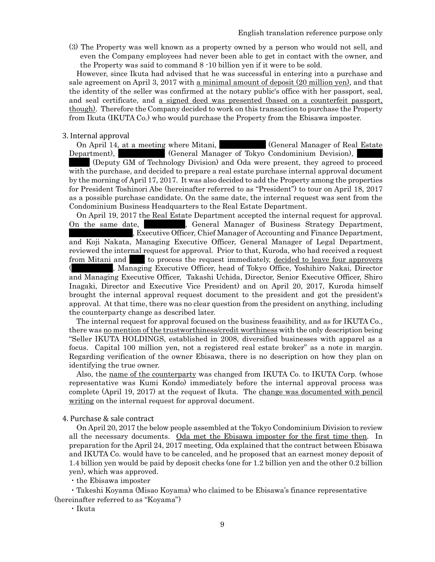(3) The Property was well known as a property owned by a person who would not sell, and even the Company employees had never been able to get in contact with the owner, and the Property was said to command 8 -10 billion yen if it were to be sold.

However, since Ikuta had advised that he was successful in entering into a purchase and sale agreement on April 3, 2017 with a minimal amount of deposit (20 million yen), and that the identity of the seller was confirmed at the notary public's office with her passport, seal, and seal certificate, and a signed deed was presented (based on a counterfeit passport, though). Therefore the Company decided to work on this transaction to purchase the Property from Ikuta (IKUTA Co.) who would purchase the Property from the Ebisawa imposter.

#### 3. Internal approval

On April 14, at a meeting where Mitani,  $\qquad \qquad$  (General Manager of Real Estate Department),  $\qquad \qquad \text{(General Manager of Tokyo Condominium Devision)},$ 

(Deputy GM of Technology Division) and Oda were present, they agreed to proceed with the purchase, and decided to prepare a real estate purchase internal approval document by the morning of April 17, 2017. It was also decided to add the Property among the properties for President Toshinori Abe (hereinafter referred to as "President") to tour on April 18, 2017 as a possible purchase candidate. On the same date, the internal request was sent from the Condominium Business Headquarters to the Real Estate Department.

On April 19, 2017 the Real Estate Department accepted the internal request for approval. On the same date,  $\blacksquare$ , General Manager of Business Strategy Department, Executive Officer, Chief Manager of Accounting and Finance Department, and Koji Nakata, Managing Executive Officer, General Manager of Legal Department, reviewed the internal request for approval. Prior to that, Kuroda, who had received a request from Mitani and  $\blacksquare$  to process the request immediately, decided to leave four approvers , Managing Executive Officer, head of Tokyo Office, Yoshihiro Nakai, Director and Managing Executive Officer, Takashi Uchida, Director, Senior Executive Officer, Shiro Inagaki, Director and Executive Vice President) and on April 20, 2017, Kuroda himself brought the internal approval request document to the president and got the president's approval. At that time, there was no clear question from the president on anything, including

The internal request for approval focused on the business feasibility, and as for IKUTA Co., there was <u>no mention of the trustworthiness/credit worthiness</u> with the only description being "Seller IKUTA HOLDINGS, established in 2008, diversified businesses with apparel as a focus. Capital 100 million yen, not a registered real estate broker" as a note in margin. Regarding verification of the owner Ebisawa, there is no description on how they plan on identifying the true owner.

Also, the name of the counterparty was changed from IKUTA Co. to IKUTA Corp. (whose representative was Kumi Kondo) immediately before the internal approval process was complete (April 19, 2017) at the request of Ikuta. The change was documented with pencil writing on the internal request for approval document.

4. Purchase & sale contract

the counterparty change as described later.

On April 20, 2017 the below people assembled at the Tokyo Condominium Division to review all the necessary documents. Oda met the Ebisawa imposter for the first time then. In preparation for the April 24, 2017 meeting, Oda explained that the contract between Ebisawa and IKUTA Co. would have to be canceled, and he proposed that an earnest money deposit of 1.4 billion yen would be paid by deposit checks (one for 1.2 billion yen and the other 0.2 billion yen), which was approved.

・the Ebisawa imposter

 ・Takeshi Koyama (Misao Koyama) who claimed to be Ebisawa's finance representative (hereinafter referred to as "Koyama")

・Ikuta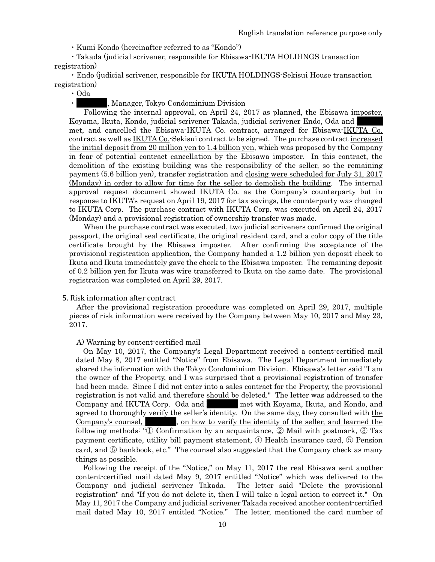・Kumi Kondo (hereinafter referred to as "Kondo")

 ・Takada (judicial scrivener, responsible for Ebisawa-IKUTA HOLDINGS transaction registration)

 ・Endo (judicial scrivener, responsible for IKUTA HOLDINGS-Sekisui House transaction registration)

・Oda

, Manager, Tokyo Condominium Division

Following the internal approval, on April 24, 2017 as planned, the Ebisawa imposter, Koyama, Ikuta, Kondo, judicial scrivener Takada, judicial scrivener Endo, Oda and met, and cancelled the Ebisawa-IKUTA Co. contract, arranged for Ebisawa-IKUTA Co. contract as well as **IKUTA Co.**-Sekisui contract to be signed. The purchase contract increased the initial deposit from 20 million yen to 1.4 billion yen, which was proposed by the Company in fear of potential contract cancellation by the Ebisawa imposter. In this contract, the demolition of the existing building was the responsibility of the seller, so the remaining payment (5.6 billion yen), transfer registration and closing were scheduled for July 31, 2017 (Monday) in order to allow for time for the seller to demolish the building. The internal approval request document showed IKUTA Co. as the Company's counterparty but in response to IKUTA's request on April 19, 2017 for tax savings, the counterparty was changed to IKUTA Corp. The purchase contract with IKUTA Corp. was executed on April 24, 2017 (Monday) and a provisional registration of ownership transfer was made.

When the purchase contract was executed, two judicial scriveners confirmed the original passport, the original seal certificate, the original resident card, and a color copy of the title certificate brought by the Ebisawa imposter. After confirming the acceptance of the provisional registration application, the Company handed a 1.2 billion yen deposit check to Ikuta and Ikuta immediately gave the check to the Ebisawa imposter. The remaining deposit of 0.2 billion yen for Ikuta was wire transferred to Ikuta on the same date. The provisional registration was completed on April 29, 2017.

## 5. Risk information after contract

After the provisional registration procedure was completed on April 29, 2017, multiple pieces of risk information were received by the Company between May 10, 2017 and May 23, 2017.

#### A) Warning by content-certified mail

On May 10, 2017, the Company's Legal Department received a content-certified mail dated May 8, 2017 entitled "Notice" from Ebisawa. The Legal Department immediately shared the information with the Tokyo Condominium Division. Ebisawa's letter said "I am the owner of the Property, and I was surprised that a provisional registration of transfer had been made. Since I did not enter into a sales contract for the Property, the provisional registration is not valid and therefore should be deleted." The letter was addressed to the Company and IKUTA Corp. Oda and The With Koyama, Ikuta, and Kondo, and agreed to thoroughly verify the seller's identity. On the same day, they consulted with the  $Compary's \text{ course}, \quad \text{on how to verify the identity of the seller, and learned the}$ following methods: "① Confirmation by an acquaintance, ② Mail with postmark, ③ Tax payment certificate, utility bill payment statement, ④ Health insurance card, ⑤ Pension card, and ⑥ bankbook, etc." The counsel also suggested that the Company check as many things as possible.

Following the receipt of the "Notice," on May 11, 2017 the real Ebisawa sent another content-certified mail dated May 9, 2017 entitled "Notice" which was delivered to the Company and judicial scrivener Takada. The letter said "Delete the provisional registration" and "If you do not delete it, then I will take a legal action to correct it." On May 11, 2017 the Company and judicial scrivener Takada received another content-certified mail dated May 10, 2017 entitled "Notice." The letter, mentioned the card number of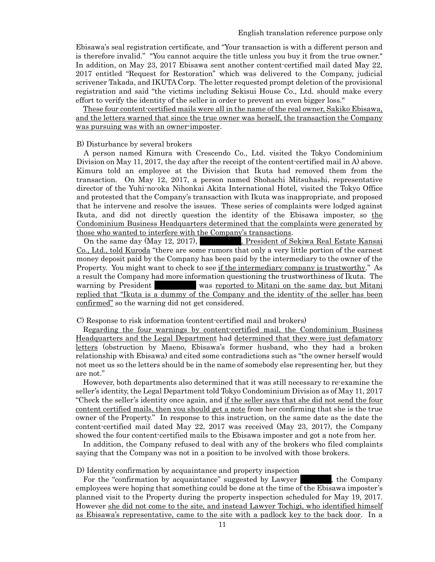Ebisawa's seal registration certificate, and "Your transaction is with a different person and is therefore invalid." "You cannot acquire the title unless you buy it from the true owner." In addition, on May 23, 2017 Ebisawa sent another content-certified mail dated May 22, 2017 entitled "Request for Restoration" which was delivered to the Company, judicial scrivener Takada, and IKUTA Corp. The letter requested prompt deletion of the provisional registration and said "the victims including Sekisui House Co., Ltd. should make every effort to verify the identity of the seller in order to prevent an even bigger loss."

These four content-certified mails were all in the name of the real owner, Sakiko Ebisawa, and the letters warned that since the true owner was herself, the transaction the Company was pursuing was with an owner-imposter.

## B) Disturbance by several brokers

A person named Kimura with Crescendo Co., Ltd. visited the Tokyo Condominium Division on May 11, 2017, the day after the receipt of the content-certified mail in A) above. Kimura told an employee at the Division that Ikuta had removed them from the transaction. On May 12, 2017, a person named Shohachi Mitsuhashi, representative director of the Yuhi-no-oka Nihonkai Akita International Hotel, visited the Tokyo Office and protested that the Company's transaction with Ikuta was inappropriate, and proposed that he intervene and resolve the issues. These series of complaints were lodged against Ikuta, and did not directly question the identity of the Ebisawa imposter, so the Condominium Business Headquarters determined that the complaints were generated by those who wanted to interfere with the Company's transactions.

On the same day (May 12, 2017), Resident of Sekiwa Real Estate Kansai Co., Ltd., told Kuroda "there are some rumors that only a very little portion of the earnest money deposit paid by the Company has been paid by the intermediary to the owner of the Property. You might want to check to see if the intermediary company is trustworthy." As a result the Company had more information questioning the trustworthiness of Ikuta. The warning by President Was reported to Mitani on the same day, but Mitani replied that "Ikuta is a dummy of the Company and the identity of the seller has been confirmed" so the warning did not get considered.

#### C) Response to risk information (content-certified mail and brokers)

Regarding the four warnings by content-certified mail, the Condominium Business Headquarters and the Legal Department had determined that they were just defamatory letters (obstruction by Maeno, Ebisawa's former husband, who they had a broken relationship with Ebisawa) and cited some contradictions such as "the owner herself would not meet us so the letters should be in the name of somebody else representing her, but they are not."

However, both departments also determined that it was still necessary to re-examine the seller's identity, the Legal Department told Tokyo Condominium Division as of May 11, 2017 "Check the seller's identity once again, and if the seller says that she did not send the four content certified mails, then you should get a note from her confirming that she is the true owner of the Property." In response to this instruction, on the same date as the date the content-certified mail dated May 22, 2017 was received (May 23, 2017), the Company showed the four content-certified mails to the Ebisawa imposter and got a note from her.

In addition, the Company refused to deal with any of the brokers who filed complaints saying that the Company was not in a position to be involved with those brokers.

### D) Identity confirmation by acquaintance and property inspection

For the "confirmation by acquaintance" suggested by Lawyer  $\lambda$ , the Company employees were hoping that something could be done at the time of the Ebisawa imposter's planned visit to the Property during the property inspection scheduled for May 19, 2017. However she did not come to the site, and instead Lawyer Tochigi, who identified himself as Ebisawa's representative, came to the site with a padlock key to the back door. In a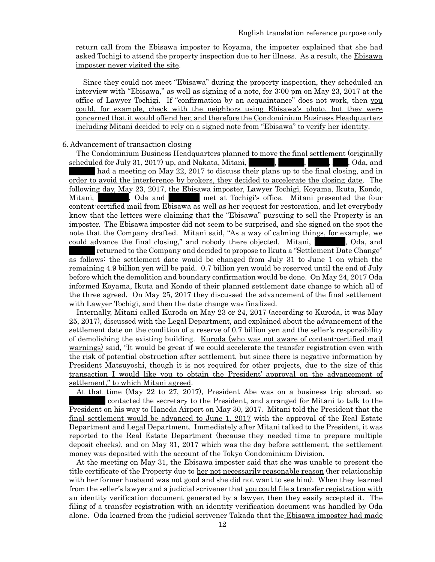return call from the Ebisawa imposter to Koyama, the imposter explained that she had asked Tochigi to attend the property inspection due to her illness. As a result, the Ebisawa imposter never visited the site.

Since they could not meet "Ebisawa" during the property inspection, they scheduled an interview with "Ebisawa," as well as signing of a note, for 3:00 pm on May 23, 2017 at the office of Lawyer Tochigi. If "confirmation by an acquaintance" does not work, then you could, for example, check with the neighbors using Ebisawa's photo, but they were concerned that it would offend her, and therefore the Condominium Business Headquarters including Mitani decided to rely on a signed note from "Ebisawa" to verify her identity.

## 6. Advancement of transaction closing

The Condominium Business Headquarters planned to move the final settlement (originally scheduled for July 31, 2017) up, and Nakata, Mitani, American Microsoft Microsoft Cola, and had a meeting on May 22, 2017 to discuss their plans up to the final closing, and in order to avoid the interference by brokers, they decided to accelerate the closing date. The following day, May 23, 2017, the Ebisawa imposter, Lawyer Tochigi, Koyama, Ikuta, Kondo, Mitani,  $\qquad \qquad$ , Oda and  $\qquad \qquad$  met at Tochigi's office. Mitani presented the four content-certified mail from Ebisawa as well as her request for restoration, and let everybody know that the letters were claiming that the "Ebisawa" pursuing to sell the Property is an imposter. The Ebisawa imposter did not seem to be surprised, and she signed on the spot the note that the Company drafted. Mitani said, "As a way of calming things, for example, we could advance the final closing," and nobody there objected. Mitani,  $\Box$ , Oda, and

returned to the Company and decided to propose to Ikuta a "Settlement Date Change" as follows: the settlement date would be changed from July 31 to June 1 on which the remaining 4.9 billion yen will be paid. 0.7 billion yen would be reserved until the end of July before which the demolition and boundary confirmation would be done. On May 24, 2017 Oda informed Koyama, Ikuta and Kondo of their planned settlement date change to which all of the three agreed. On May 25, 2017 they discussed the advancement of the final settlement with Lawyer Tochigi, and then the date change was finalized.

Internally, Mitani called Kuroda on May 23 or 24, 2017 (according to Kuroda, it was May 25, 2017), discussed with the Legal Department, and explained about the advancement of the settlement date on the condition of a reserve of 0.7 billion yen and the seller's responsibility of demolishing the existing building. Kuroda (who was not aware of content-certified mail warnings) said, "It would be great if we could accelerate the transfer registration even with the risk of potential obstruction after settlement, but since there is negative information by President Matsuyoshi, though it is not required for other projects, due to the size of this transaction I would like you to obtain the President' approval on the advancement of settlement," to which Mitani agreed.

At that time (May 22 to 27, 2017), President Abe was on a business trip abroad, so contacted the secretary to the President, and arranged for Mitani to talk to the President on his way to Haneda Airport on May 30, 2017. Mitani told the President that the final settlement would be advanced to June 1, 2017 with the approval of the Real Estate Department and Legal Department. Immediately after Mitani talked to the President, it was reported to the Real Estate Department (because they needed time to prepare multiple deposit checks), and on May 31, 2017 which was the day before settlement, the settlement money was deposited with the account of the Tokyo Condominium Division.

At the meeting on May 31, the Ebisawa imposter said that she was unable to present the title certificate of the Property due to her not necessarily reasonable reason (her relationship with her former husband was not good and she did not want to see him). When they learned from the seller's lawyer and a judicial scrivener that you could file a transfer registration with an identity verification document generated by a lawyer, then they easily accepted it. The filing of a transfer registration with an identity verification document was handled by Oda alone. Oda learned from the judicial scrivener Takada that the Ebisawa imposter had made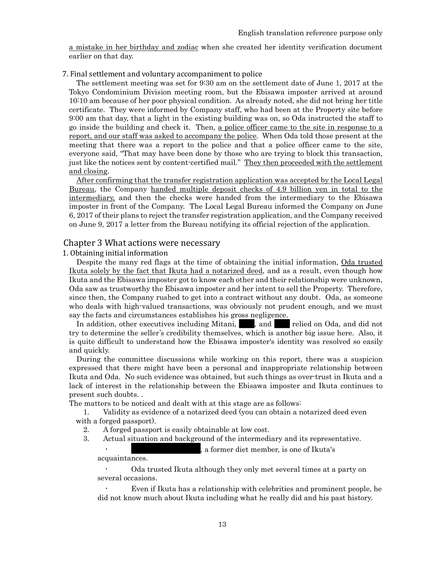a mistake in her birthday and zodiac when she created her identity verification document earlier on that day.

## 7. Final settlement and voluntary accompaniment to police

The settlement meeting was set for 9:30 am on the settlement date of June 1, 2017 at the Tokyo Condominium Division meeting room, but the Ebisawa imposter arrived at around 10:10 am because of her poor physical condition. As already noted, she did not bring her title certificate. They were informed by Company staff, who had been at the Property site before 9:00 am that day, that a light in the existing building was on, so Oda instructed the staff to go inside the building and check it. Then, a police officer came to the site in response to a report, and our staff was asked to accompany the police. When Oda told those present at the meeting that there was a report to the police and that a police officer came to the site, everyone said, "That may have been done by those who are trying to block this transaction, just like the notices sent by content-certified mail." They then proceeded with the settlement and closing.

After confirming that the transfer registration application was accepted by the Local Legal Bureau, the Company handed multiple deposit checks of 4.9 billion yen in total to the intermediary, and then the checks were handed from the intermediary to the Ebisawa imposter in front of the Company. The Local Legal Bureau informed the Company on June 6, 2017 of their plans to reject the transfer registration application, and the Company received on June 9, 2017 a letter from the Bureau notifying its official rejection of the application.

## Chapter 3 What actions were necessary

1. Obtaining initial information

Despite the many red flags at the time of obtaining the initial information, Oda trusted Ikuta solely by the fact that Ikuta had a notarized deed, and as a result, even though how Ikuta and the Ebisawa imposter got to know each other and their relationship were unknown, Oda saw as trustworthy the Ebisawa imposter and her intent to sell the Property. Therefore, since then, the Company rushed to get into a contract without any doubt. Oda, as someone who deals with high-valued transactions, was obviously not prudent enough, and we must say the facts and circumstances establishes his gross negligence.

In addition, other executives including Mitani,  $\blacksquare$ , and  $\blacksquare$  relied on Oda, and did not try to determine the seller's credibility themselves, which is another big issue here. Also, it is quite difficult to understand how the Ebisawa imposter's identity was resolved so easily and quickly.

During the committee discussions while working on this report, there was a suspicion expressed that there might have been a personal and inappropriate relationship between Ikuta and Oda. No such evidence was obtained, but such things as over-trust in Ikuta and a lack of interest in the relationship between the Ebisawa imposter and Ikuta continues to present such doubts. .

The matters to be noticed and dealt with at this stage are as follows:

1. Validity as evidence of a notarized deed (you can obtain a notarized deed even with a forged passport).

- 2. A forged passport is easily obtainable at low cost.
- 3. Actual situation and background of the intermediary and its representative.

a former diet member, is one of Ikuta's

acquaintances.

Oda trusted Ikuta although they only met several times at a party on several occasions.

Even if Ikuta has a relationship with celebrities and prominent people, he did not know much about Ikuta including what he really did and his past history.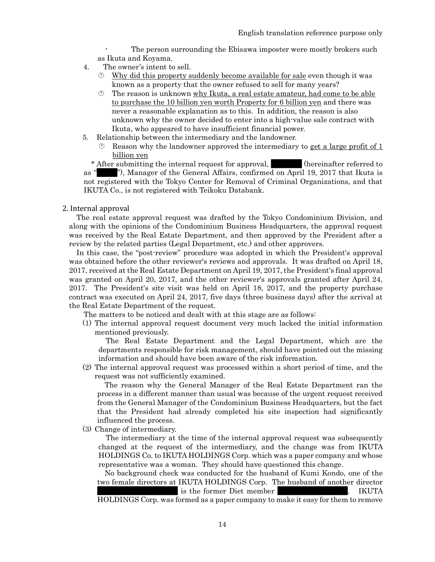The person surrounding the Ebisawa imposter were mostly brokers such as Ikuta and Koyama.

- 4. The owner's intent to sell.
	- $\circled{v}$  Why did this property suddenly become available for sale even though it was known as a property that the owner refused to sell for many years?
	- $\circled{1}$  The reason is unknown why Ikuta, a real estate amateur, had come to be able to purchase the 10 billion yen worth Property for 6 billion yen and there was never a reasonable explanation as to this. In addition, the reason is also unknown why the owner decided to enter into a high-value sale contract with Ikuta, who appeared to have insufficient financial power.
- 5. Relationship between the intermediary and the landowner.
	- Reason why the landowner approved the intermediary to get a large profit of 1 billion yen

\* After submitting the internal request for approval,  $\blacksquare$  (hereinafter referred to as ""), Manager of the General Affairs, confirmed on April 19, 2017 that Ikuta is not registered with the Tokyo Center for Removal of Criminal Organizations, and that IKUTA Co., is not registered with Teikoku Databank.

## 2. Internal approval

The real estate approval request was drafted by the Tokyo Condominium Division, and along with the opinions of the Condominium Business Headquarters, the approval request was received by the Real Estate Department, and then approved by the President after a review by the related parties (Legal Department, etc.) and other approvers.

In this case, the "post-review" procedure was adopted in which the President's approval was obtained before the other reviewer's reviews and approvals. It was drafted on April 18, 2017, received at the Real Estate Department on April 19, 2017, the President's final approval was granted on April 20, 2017, and the other reviewer's approvals granted after April 24, 2017. The President's site visit was held on April 18, 2017, and the property purchase contract was executed on April 24, 2017, five days (three business days) after the arrival at the Real Estate Department of the request.

The matters to be noticed and dealt with at this stage are as follows:

(1) The internal approval request document very much lacked the initial information mentioned previously.

The Real Estate Department and the Legal Department, which are the departments responsible for risk management, should have pointed out the missing information and should have been aware of the risk information.

(2) The internal approval request was processed within a short period of time, and the request was not sufficiently examined.

The reason why the General Manager of the Real Estate Department ran the process in a different manner than usual was because of the urgent request received from the General Manager of the Condominium Business Headquarters, but the fact that the President had already completed his site inspection had significantly influenced the process.

(3) Change of intermediary.

The intermediary at the time of the internal approval request was subsequently changed at the request of the intermediary, and the change was from IKUTA HOLDINGS Co. to IKUTA HOLDINGS Corp. which was a paper company and whose representative was a woman. They should have questioned this change.

No background check was conducted for the husband of Kumi Kondo, one of the two female directors at IKUTA HOLDINGS Corp. The husband of another director is the former Diet member XXXX. IKUTA HOLDINGS Corp. was formed as a paper company to make it easy for them to remove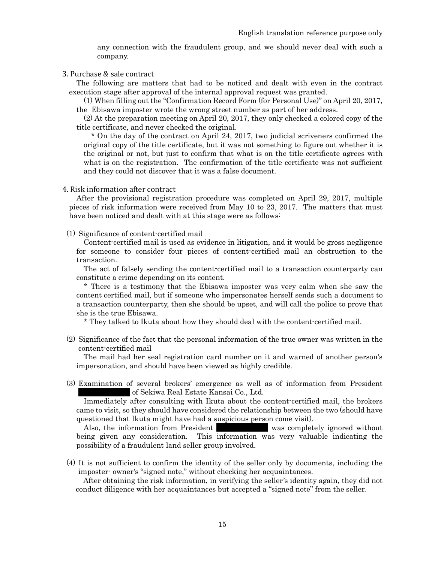any connection with the fraudulent group, and we should never deal with such a company.

## 3. Purchase & sale contract

The following are matters that had to be noticed and dealt with even in the contract execution stage after approval of the internal approval request was granted.

(1) When filling out the "Confirmation Record Form (for Personal Use)" on April 20, 2017, the Ebisawa imposter wrote the wrong street number as part of her address.

(2) At the preparation meeting on April 20, 2017, they only checked a colored copy of the title certificate, and never checked the original.

\* On the day of the contract on April 24, 2017, two judicial scriveners confirmed the original copy of the title certificate, but it was not something to figure out whether it is the original or not, but just to confirm that what is on the title certificate agrees with what is on the registration. The confirmation of the title certificate was not sufficient and they could not discover that it was a false document.

#### 4. Risk information after contract

After the provisional registration procedure was completed on April 29, 2017, multiple pieces of risk information were received from May 10 to 23, 2017. The matters that must have been noticed and dealt with at this stage were as follows:

## (1) Significance of content-certified mail

Content-certified mail is used as evidence in litigation, and it would be gross negligence for someone to consider four pieces of content-certified mail an obstruction to the transaction.

The act of falsely sending the content-certified mail to a transaction counterparty can constitute a crime depending on its content.

\* There is a testimony that the Ebisawa imposter was very calm when she saw the content certified mail, but if someone who impersonates herself sends such a document to a transaction counterparty, then she should be upset, and will call the police to prove that she is the true Ebisawa.

\* They talked to Ikuta about how they should deal with the content-certified mail.

(2) Significance of the fact that the personal information of the true owner was written in the content-certified mail

The mail had her seal registration card number on it and warned of another person's impersonation, and should have been viewed as highly credible.

(3) Examination of several brokers' emergence as well as of information from President of Sekiwa Real Estate Kansai Co., Ltd.

Immediately after consulting with Ikuta about the content-certified mail, the brokers came to visit, so they should have considered the relationship between the two (should have questioned that Ikuta might have had a suspicious person come visit).

Also, the information from President Was completely ignored without being given any consideration. This information was very valuable indicating the possibility of a fraudulent land seller group involved.

(4) It is not sufficient to confirm the identity of the seller only by documents, including the imposter- owner's "signed note," without checking her acquaintances.

After obtaining the risk information, in verifying the seller's identity again, they did not conduct diligence with her acquaintances but accepted a "signed note" from the seller.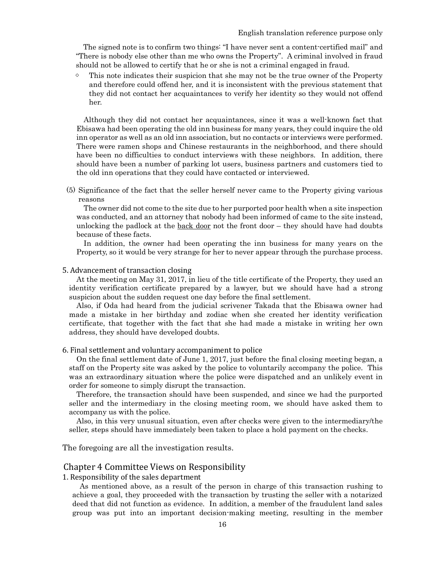The signed note is to confirm two things: "I have never sent a content-certified mail" and "There is nobody else other than me who owns the Property". A criminal involved in fraud should not be allowed to certify that he or she is not a criminal engaged in fraud.

 $\Diamond$  This note indicates their suspicion that she may not be the true owner of the Property and therefore could offend her, and it is inconsistent with the previous statement that they did not contact her acquaintances to verify her identity so they would not offend her.

Although they did not contact her acquaintances, since it was a well-known fact that Ebisawa had been operating the old inn business for many years, they could inquire the old inn operator as well as an old inn association, but no contacts or interviews were performed. There were ramen shops and Chinese restaurants in the neighborhood, and there should have been no difficulties to conduct interviews with these neighbors. In addition, there should have been a number of parking lot users, business partners and customers tied to the old inn operations that they could have contacted or interviewed.

(5) Significance of the fact that the seller herself never came to the Property giving various reasons

The owner did not come to the site due to her purported poor health when a site inspection was conducted, and an attorney that nobody had been informed of came to the site instead, unlocking the padlock at the  $\frac{back door}{root}$  the front door – they should have had doubts because of these facts.

In addition, the owner had been operating the inn business for many years on the Property, so it would be very strange for her to never appear through the purchase process.

## 5. Advancement of transaction closing

At the meeting on May 31, 2017, in lieu of the title certificate of the Property, they used an identity verification certificate prepared by a lawyer, but we should have had a strong suspicion about the sudden request one day before the final settlement.

Also, if Oda had heard from the judicial scrivener Takada that the Ebisawa owner had made a mistake in her birthday and zodiac when she created her identity verification certificate, that together with the fact that she had made a mistake in writing her own address, they should have developed doubts.

## 6. Final settlement and voluntary accompaniment to police

On the final settlement date of June 1, 2017, just before the final closing meeting began, a staff on the Property site was asked by the police to voluntarily accompany the police. This was an extraordinary situation where the police were dispatched and an unlikely event in order for someone to simply disrupt the transaction.

Therefore, the transaction should have been suspended, and since we had the purported seller and the intermediary in the closing meeting room, we should have asked them to accompany us with the police.

Also, in this very unusual situation, even after checks were given to the intermediary/the seller, steps should have immediately been taken to place a hold payment on the checks.

The foregoing are all the investigation results.

## Chapter 4 Committee Views on Responsibility

1. Responsibility of the sales department

As mentioned above, as a result of the person in charge of this transaction rushing to achieve a goal, they proceeded with the transaction by trusting the seller with a notarized deed that did not function as evidence. In addition, a member of the fraudulent land sales group was put into an important decision-making meeting, resulting in the member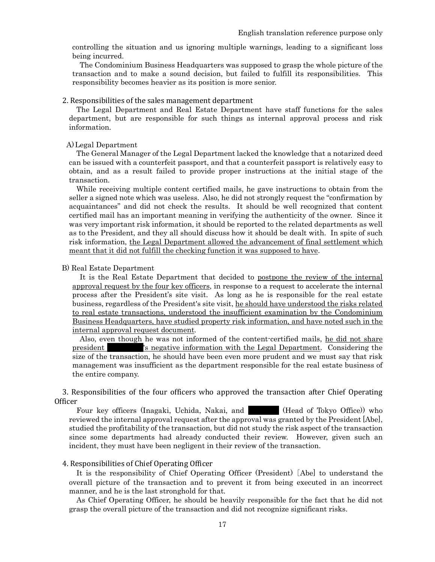controlling the situation and us ignoring multiple warnings, leading to a significant loss being incurred.

The Condominium Business Headquarters was supposed to grasp the whole picture of the transaction and to make a sound decision, but failed to fulfill its responsibilities. This responsibility becomes heavier as its position is more senior.

## 2. Responsibilities of the sales management department

The Legal Department and Real Estate Department have staff functions for the sales department, but are responsible for such things as internal approval process and risk information.

#### A)Legal Department

The General Manager of the Legal Department lacked the knowledge that a notarized deed can be issued with a counterfeit passport, and that a counterfeit passport is relatively easy to obtain, and as a result failed to provide proper instructions at the initial stage of the transaction.

While receiving multiple content certified mails, he gave instructions to obtain from the seller a signed note which was useless. Also, he did not strongly request the "confirmation by acquaintances" and did not check the results. It should be well recognized that content certified mail has an important meaning in verifying the authenticity of the owner. Since it was very important risk information, it should be reported to the related departments as well as to the President, and they all should discuss how it should be dealt with. In spite of such risk information, the Legal Department allowed the advancement of final settlement which meant that it did not fulfill the checking function it was supposed to have.

## B) Real Estate Department

It is the Real Estate Department that decided to postpone the review of the internal approval request by the four key officers, in response to a request to accelerate the internal process after the President's site visit. As long as he is responsible for the real estate business, regardless of the President's site visit, he should have understood the risks related to real estate transactions, understood the insufficient examination by the Condominium Business Headquarters, have studied property risk information, and have noted such in the internal approval request document.

Also, even though he was not informed of the content-certified mails, he did not share president The Subsection is negative information with the Legal Department. Considering the size of the transaction, he should have been even more prudent and we must say that risk management was insufficient as the department responsible for the real estate business of the entire company.

3. Responsibilities of the four officers who approved the transaction after Chief Operating Officer

Four key officers (Inagaki, Uchida, Nakai, and **XXXX (See Algerity Constant)** (Head of Tokyo Office)) who reviewed the internal approval request after the approval was granted by the President [Abe], studied the profitability of the transaction, but did not study the risk aspect of the transaction since some departments had already conducted their review. However, given such an incident, they must have been negligent in their review of the transaction.

## 4. Responsibilities of Chief Operating Officer

It is the responsibility of Chief Operating Officer (President) [Abe] to understand the overall picture of the transaction and to prevent it from being executed in an incorrect manner, and he is the last stronghold for that.

As Chief Operating Officer, he should be heavily responsible for the fact that he did not grasp the overall picture of the transaction and did not recognize significant risks.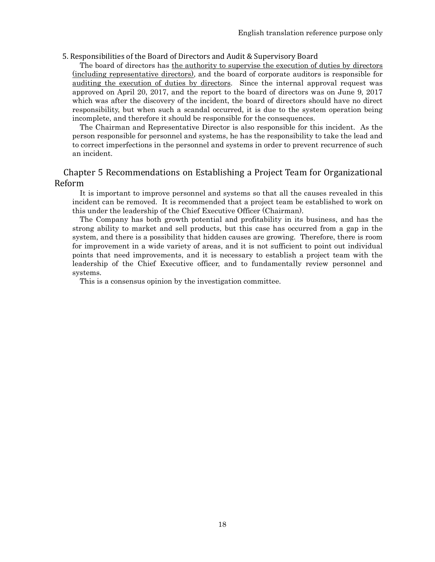## 5. Responsibilities of the Board of Directors and Audit & Supervisory Board

The board of directors has the authority to supervise the execution of duties by directors (including representative directors), and the board of corporate auditors is responsible for auditing the execution of duties by directors. Since the internal approval request was approved on April 20, 2017, and the report to the board of directors was on June 9, 2017 which was after the discovery of the incident, the board of directors should have no direct responsibility, but when such a scandal occurred, it is due to the system operation being incomplete, and therefore it should be responsible for the consequences.

The Chairman and Representative Director is also responsible for this incident. As the person responsible for personnel and systems, he has the responsibility to take the lead and to correct imperfections in the personnel and systems in order to prevent recurrence of such an incident.

## Chapter 5 Recommendations on Establishing a Project Team for Organizational Reform

It is important to improve personnel and systems so that all the causes revealed in this incident can be removed. It is recommended that a project team be established to work on this under the leadership of the Chief Executive Officer (Chairman).

The Company has both growth potential and profitability in its business, and has the strong ability to market and sell products, but this case has occurred from a gap in the system, and there is a possibility that hidden causes are growing. Therefore, there is room for improvement in a wide variety of areas, and it is not sufficient to point out individual points that need improvements, and it is necessary to establish a project team with the leadership of the Chief Executive officer, and to fundamentally review personnel and systems.

This is a consensus opinion by the investigation committee.